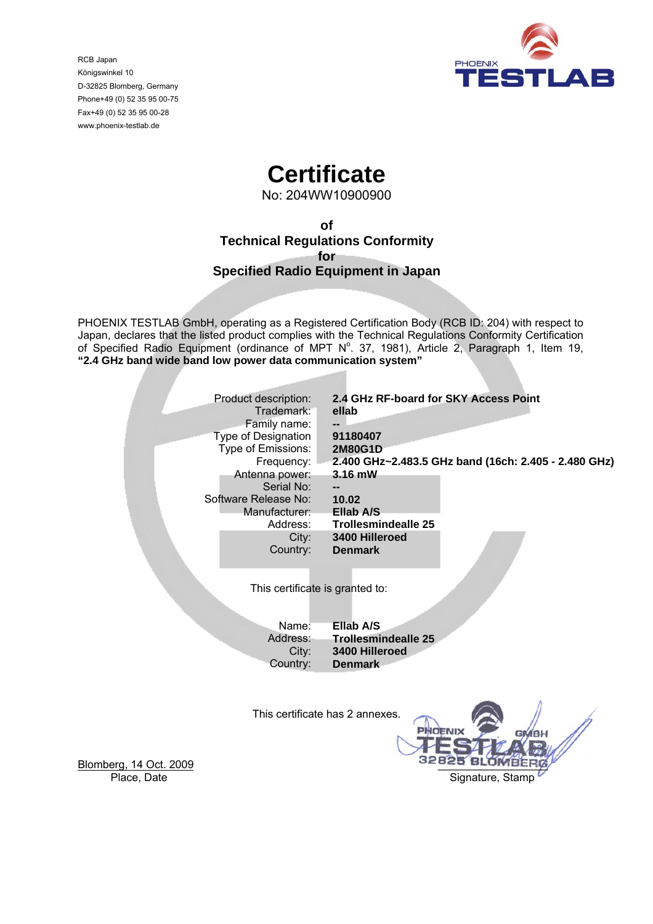

RCB Japan Königswinkel 10 D-32825 Blomberg, Germany Phone+49 (0) 52 35 95 00-75 Fax+49 (0) 52 35 95 00-28 www.phoenix-testlab.de

# **Certificate**

No: 204WW10900900

**of Technical Regulations Conformity for Specified Radio Equipment in Japan** 

PHOENIX TESTLAB GmbH, operating as a Registered Certification Body (RCB ID: 204) with respect to Japan, declares that the listed product complies with the Technical Regulations Conformity Certification of Specified Radio Equipment (ordinance of MPT  $N^{\circ}$ . 37, 1981), Article 2, Paragraph 1, Item 19, **"2.4 GHz band wide band low power data communication system"** 

| Product description:            | 2.4 GHz RF-board for SKY Access Point                |  |  |
|---------------------------------|------------------------------------------------------|--|--|
| Trademark:                      | ellab                                                |  |  |
| Family name:                    |                                                      |  |  |
| Type of Designation             | 91180407                                             |  |  |
| Type of Emissions:              | <b>2M80G1D</b>                                       |  |  |
| Frequency:                      | 2.400 GHz~2.483.5 GHz band (16ch: 2.405 - 2.480 GHz) |  |  |
| Antenna power:                  | 3.16 mW                                              |  |  |
| Serial No:                      |                                                      |  |  |
| Software Release No:            | 10.02                                                |  |  |
| Manufacturer:                   | Ellab A/S                                            |  |  |
|                                 | <b>Trollesmindealle 25</b>                           |  |  |
| Address:                        | 3400 Hilleroed                                       |  |  |
| City:                           |                                                      |  |  |
| Country:                        | <b>Denmark</b>                                       |  |  |
|                                 |                                                      |  |  |
|                                 |                                                      |  |  |
| This certificate is granted to: |                                                      |  |  |
|                                 |                                                      |  |  |
|                                 |                                                      |  |  |
| Name:                           | Ellab A/S                                            |  |  |
| Address:                        | <b>Trollesmindealle 25</b>                           |  |  |
| City:                           | 3400 Hilleroed                                       |  |  |
| Country:                        | <b>Denmark</b>                                       |  |  |
|                                 |                                                      |  |  |
|                                 |                                                      |  |  |
|                                 |                                                      |  |  |
| This certificate has 2 annexes. |                                                      |  |  |
|                                 | <b>PHOENIX</b>                                       |  |  |

Blomberg, 14 Oct. 2009 **blomberg**, 14 Oct. 2009 Place, Date **Signature**, Stamp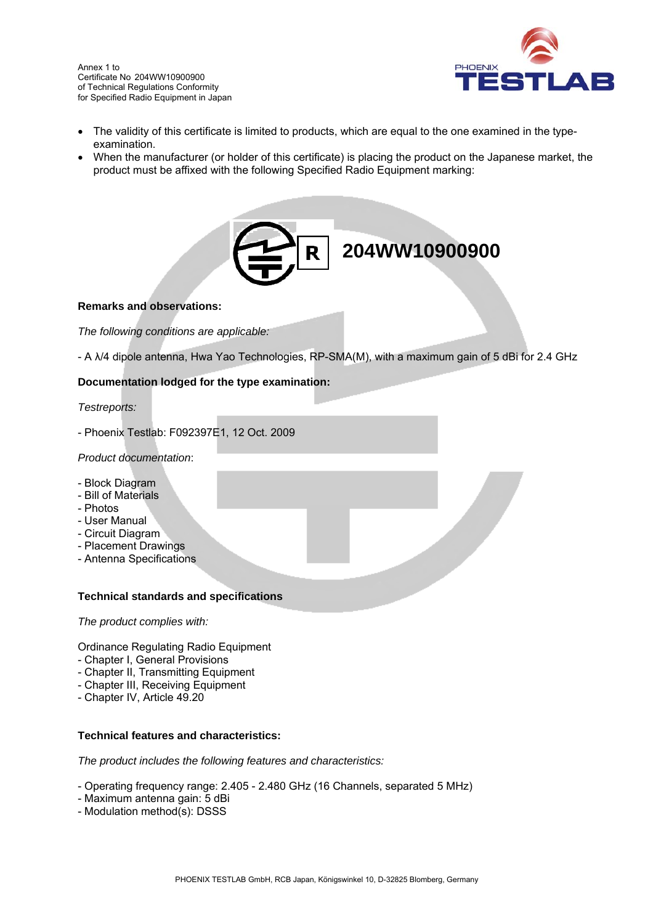

- The validity of this certificate is limited to products, which are equal to the one examined in the typeexamination.
- When the manufacturer (or holder of this certificate) is placing the product on the Japanese market, the product must be affixed with the following Specified Radio Equipment marking:



# **Remarks and observations:**

*The following conditions are applicable:* 

- A λ/4 dipole antenna, Hwa Yao Technologies, RP-SMA(M), with a maximum gain of 5 dBi for 2.4 GHz

# **Documentation lodged for the type examination:**

### *Testreports:*

- Phoenix Testlab: F092397E1, 12 Oct. 2009

### *Product documentation*:

- Block Diagram
- Bill of Materials
- Photos
- User Manual
- Circuit Diagram
- Placement Drawings
- Antenna Specifications

### **Technical standards and specifications**

*The product complies with:* 

Ordinance Regulating Radio Equipment

- Chapter I, General Provisions
- Chapter II, Transmitting Equipment
- Chapter III, Receiving Equipment
- Chapter IV, Article 49.20

### **Technical features and characteristics:**

*The product includes the following features and characteristics:* 

- Operating frequency range: 2.405 2.480 GHz (16 Channels, separated 5 MHz)
- Maximum antenna gain: 5 dBi
- Modulation method(s): DSSS